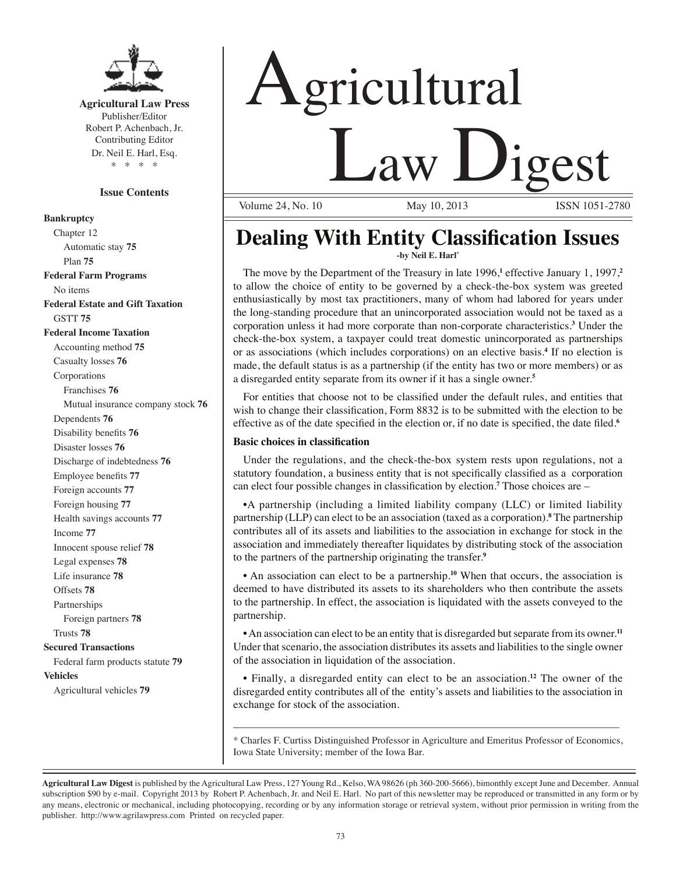

**Agricultural Law Press** Publisher/Editor Robert P. Achenbach, Jr. Contributing Editor Dr. Neil E. Harl, Esq. \* \* \* \*

# **Issue Contents**

# **Bankruptcy**

Chapter 12 Automatic stay **75** Plan **75 Federal Farm Programs** No items **Federal Estate and Gift Taxation** GSTT **75 Federal Income Taxation** Accounting method **75** Casualty losses **76** Corporations Franchises **76** Mutual insurance company stock **76** Dependents **76** Disability benefits **76** Disaster losses **76** Discharge of indebtedness **76** Employee benefits **77** Foreign accounts **77** Foreign housing **77** Health savings accounts **77** Income **77** Innocent spouse relief **78** Legal expenses **78** Life insurance **78** Offsets **78** Partnerships Foreign partners **78** Trusts **78 Secured Transactions** Federal farm products statute **79 Vehicles** Agricultural vehicles **79**

# Agricultural **Law Digest**

Volume 24, No. 10

# **Dealing With Entity Classification Issues -by Neil E. Harl\***

The move by the Department of the Treasury in late 1996,<sup>1</sup> effective January 1, 1997,<sup>2</sup> to allow the choice of entity to be governed by a check-the-box system was greeted enthusiastically by most tax practitioners, many of whom had labored for years under the long-standing procedure that an unincorporated association would not be taxed as a corporation unless it had more corporate than non-corporate characteristics.**<sup>3</sup>** Under the check-the-box system, a taxpayer could treat domestic unincorporated as partnerships or as associations (which includes corporations) on an elective basis.**<sup>4</sup>** If no election is made, the default status is as a partnership (if the entity has two or more members) or as a disregarded entity separate from its owner if it has a single owner.**<sup>5</sup>**

 For entities that choose not to be classified under the default rules, and entities that wish to change their classification, Form 8832 is to be submitted with the election to be effective as of the date specified in the election or, if no date is specified, the date filed.**<sup>6</sup>**

# **Basic choices in classification**

Under the regulations, and the check-the-box system rests upon regulations, not a statutory foundation, a business entity that is not specifically classified as a corporation can elect four possible changes in classification by election.**<sup>7</sup>** Those choices are –

 •A partnership (including a limited liability company (LLC) or limited liability partnership (LLP) can elect to be an association (taxed as a corporation).**<sup>8</sup>** The partnership contributes all of its assets and liabilities to the association in exchange for stock in the association and immediately thereafter liquidates by distributing stock of the association to the partners of the partnership originating the transfer.**<sup>9</sup>**

 • An association can elect to be a partnership.**<sup>10</sup>** When that occurs, the association is deemed to have distributed its assets to its shareholders who then contribute the assets to the partnership. In effect, the association is liquidated with the assets conveyed to the partnership.

• An association can elect to be an entity that is disregarded but separate from its owner.<sup>11</sup> Under that scenario, the association distributes its assets and liabilities to the single owner of the association in liquidation of the association.

• Finally, a disregarded entity can elect to be an association.**<sup>12</sup>** The owner of the disregarded entity contributes all of the entity's assets and liabilities to the association in exchange for stock of the association.

\* Charles F. Curtiss Distinguished Professor in Agriculture and Emeritus Professor of Economics, Iowa State University; member of the Iowa Bar.

\_\_\_\_\_\_\_\_\_\_\_\_\_\_\_\_\_\_\_\_\_\_\_\_\_\_\_\_\_\_\_\_\_\_\_\_\_\_\_\_\_\_\_\_\_\_\_\_\_\_\_\_\_\_\_\_\_\_\_\_\_\_\_\_\_\_\_\_\_\_

**Agricultural Law Digest** is published by the Agricultural Law Press, 127 Young Rd., Kelso, WA 98626 (ph 360-200-5666), bimonthly except June and December. Annual subscription \$90 by e-mail. Copyright 2013 by Robert P. Achenbach, Jr. and Neil E. Harl. No part of this newsletter may be reproduced or transmitted in any form or by any means, electronic or mechanical, including photocopying, recording or by any information storage or retrieval system, without prior permission in writing from the publisher. http://www.agrilawpress.com Printed on recycled paper.